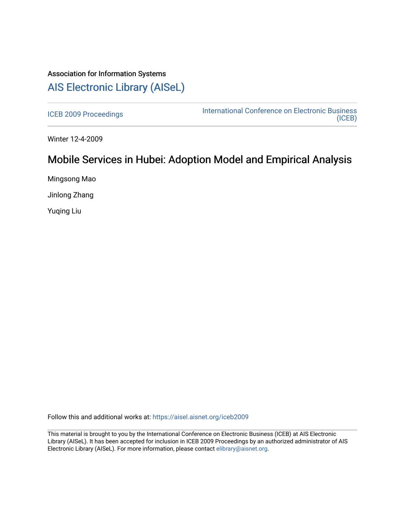## Association for Information Systems [AIS Electronic Library \(AISeL\)](https://aisel.aisnet.org/)

[ICEB 2009 Proceedings](https://aisel.aisnet.org/iceb2009) **International Conference on Electronic Business** [\(ICEB\)](https://aisel.aisnet.org/iceb) 

Winter 12-4-2009

# Mobile Services in Hubei: Adoption Model and Empirical Analysis

Mingsong Mao

Jinlong Zhang

Yuqing Liu

Follow this and additional works at: [https://aisel.aisnet.org/iceb2009](https://aisel.aisnet.org/iceb2009?utm_source=aisel.aisnet.org%2Ficeb2009%2F116&utm_medium=PDF&utm_campaign=PDFCoverPages)

This material is brought to you by the International Conference on Electronic Business (ICEB) at AIS Electronic Library (AISeL). It has been accepted for inclusion in ICEB 2009 Proceedings by an authorized administrator of AIS Electronic Library (AISeL). For more information, please contact [elibrary@aisnet.org.](mailto:elibrary@aisnet.org%3E)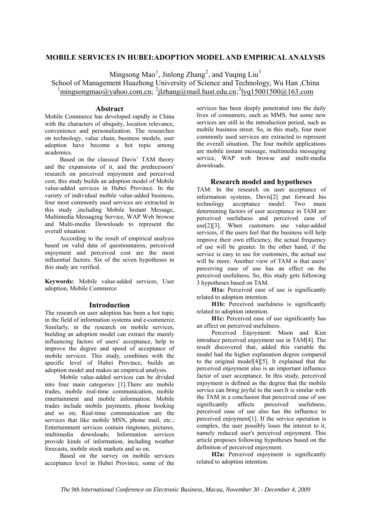## **MOBILE SERVICES IN HUBEI:ADOPTION MODEL AND EMPIRICAL ANALYSIS**

Mingsong Mao<sup>1</sup>, Jinlong Zhang<sup>2</sup>, and Yuqing Liu<sup>3</sup>

School of Management Huazhong University of Science and Technology, Wu Han ,China  $\frac{1}{2}$ mingsongmao@yahoo.com.cn;  $\frac{2}{3}$ [zhang@mail.hust.edu.cn;  $\frac{3}{3}$ [yq15001500@163.com]

#### **Abstract**

Mobile Commerce has developed rapidly in China with the characters of ubiquity, location relevance, convenience and personalization. The researches on technology, value chain, business models, user adoption have become a hot topic among academics.

Based on the classical Davis' TAM theory and the expansions of it, and the predecessors' research on perceived enjoyment and perceived cost, this study builds an adoption model of Mobile value-added services in Hubei Province. In the variety of individual mobile value-added business, four most commonly used services are extracted in this study ,including Mobile Instant Message, Multimedia Messaging Service, WAP Web browse and Multi-media Downloads to represent the overall situation.

According to the result of empirical analysis based on valid data of questionnaires, perceived enjoyment and perceived cost are the most influential factors. Six of the seven hypotheses in this study are verified.

**Keywords:** Mobile value-added services, User adoption, Mobile Commerce

#### **Introduction**

The research on user adoption has been a hot topic in the field of information systems and e-commerce. Similarly, in the research on mobile services, building an adoption model can extract the mainly influencing factors of users' acceptance, help to improve the degree and speed of acceptance of mobile services. This study, combines with the specific level of Hubei Province, builds an adoption model and makes an empirical analysis.

Mobile value-added services can be divided into four main categories [1].There are mobile trades, mobile real-time communication, mobile entertainment and mobile information. Mobile trades include mobile payments, phone booking and so on; Real-time communication are the services that like mobile MSN, phone mail, etc.; Entertainment services contain ringtones, pictures, multimedia downloads; Information services provide kinds of information, including weather forecasts, mobile stock markets and so on.

Based on the survey on mobile services acceptance level in Hubei Province, some of the services has been deeply penetrated into the daily lives of consumers, such as MMS; but some new services are still in the introduction period, such as mobile business street. So, in this study, four most commonly used services are extracted to represent the overall situation. The four mobile applications are mobile instant message, multimedia messaging service, WAP web browse and multi-media downloads.

### **Research model and hypotheses**

TAM: In the research on user acceptance of information systems, Davis[2] put forward his technology acceptance model. Two main determining factors of user acceptance in TAM are perceived usefulness and perceived ease of use<sup>[2]</sup>[3]. When customers use value-added services, if the users feel that the business will help improve their own efficiency, the actual frequency of use will be greater. In the other hand, if the service is easy to use for customers, the actual use will be more. Another view of TAM is that users' perceiving ease of use has an effect on the perceived usefulness. So, this study gets following 3 hypotheses based on TAM.

**H1a:** Perceived ease of use is significantly related to adoption intention.

**H1b:** Perceived usefulness is significantly related to adoption intention.

**H1c:** Perceived ease of use significantly has an effect on perceived usefulness.

Perceived Enjoyment: Moon and Kim introduce perceived enjoyment use in TAM[4]. The result discovered that, added this variable the model had the higher explanation degree compared to the original model[4][5]. It explained that the perceived enjoyment also is an important influence factor of user acceptance. In this study, perceived enjoyment is defined as the degree that the mobile service can bring joyful to the user.It is similar with the TAM in a conclusion that perceived ease of use significantly affects perceived usefulness, perceived ease of use also has the influence to perceived enjoyment[1]. If the service operation is complex, the user possibly loses the interest to it, namely reduced user's perceived enjoyment. This article proposes following hypotheses based on the definition of perceived enjoyment.

**H2a:** Perceived enjoyment is significantly related to adoption intention.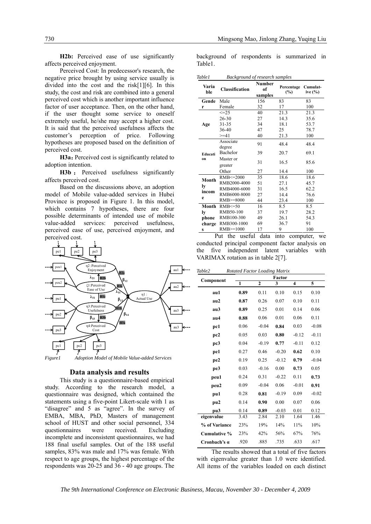H<sub>2</sub>b: Perceived ease of use significantly affects perceived enjoyment.

Perceived Cost: In predecessor's research, the negative price brought by using service usually is divided into the cost and the risk[1][6]. In this study, the cost and risk are combined into a general perceived cost which is another important influence factor of user acceptance. Then, on the other hand, if the user thought some service to oneself extremely useful, he/she may accept a higher cost. It is said that the perceived usefulness affects the customer's perception of price. Following hypotheses are proposed based on the definition of perceived cost.

H3a: Perceived cost is significantly related to adoption intention.

**H3b** : Perceived usefulness significantly affects perceived cost.

Based on the discussions above, an adoption model of Mobile value-added services in Hubei Province is proposed in Figure 1. In this model, which contains 7 hypotheses, there are four possible determinants of intended use of mobile value-added services: perceived usefulness, perceived ease of use, perceived enjoyment, and perceived cost.



#### **Data analysis and results**

This study is a questionnaire-based empirical study. According to the research model, a questionnaire was designed, which contained the statements using a five-point Likert-scale with 1 as "disagree" and 5 as "agree". In the survey of EMBA, MBA, PhD, Masters of management school of HUST and other social personnel, 334 questionnaires were received. Excluding incomplete and inconsistent questionnaires, we had 188 final useful samples. Out of the 188 useful samples, 83% was male and 17% was female. With respect to age groups, the highest percentage of the respondents was 20-25 and 36 - 40 age groups. The

background of respondents is summarized in Table1.

*Table1 Background of research samples* 

| Varia<br>ble     | <b>Classification</b> | <b>Number</b><br>of<br>samples | Percentage<br>(%) | Cumulat-<br>ive (%) |
|------------------|-----------------------|--------------------------------|-------------------|---------------------|
| Gende            | Male                  | 156                            | 83                | 83                  |
| r                | Female                | 32                             | 17                | 100                 |
|                  | $\leq$ = 25           | 40                             | 21.3              | 21.3                |
|                  | $26 - 30$             | 27                             | 14.3              | 35.6                |
| Age              | $31 - 35$             | 34                             | 18.1              | 53.7                |
|                  | 36-40                 | 47                             | 25                | 78.7                |
|                  | $>=11$                | 40                             | 21.3              | 100                 |
| Educati<br>on    | Associate             | 91                             | 48.4              | 48.4                |
|                  | degree<br>Bachelor    | 39                             | 20.7              | 69.1                |
|                  | Master or<br>greater  | 31                             | 16.5              | 85.6                |
|                  | Other                 | 27                             | 14.4              | 100                 |
| Month            | RMB <= 2000           | 35                             | 18.6              | 18.6                |
|                  | RMB2000-4000          | 51                             | 27.1              | 45.7                |
| ly<br>incom<br>e | RMB4000-6000          | 31                             | 16.5              | 62.2                |
|                  | RMB6000-8000          | 27                             | 14.4              | 76.6                |
|                  | RMB>=8000             | 44                             | 23.4              | 100                 |
| Month            | $RMB \leq 50$         | 16                             | 8.5               | 8.5                 |
| ly               | RMB50-100             | 37                             | 19.7              | 28.2                |
| phone            | RMB100-300            | 49                             | 26.1              | 54.3                |
| charge           | RMB300-1000           | 69                             | 36.7              | 91                  |
| $\bf{s}$         | RMB>=1000             | 17                             | 9                 | 100                 |

 Put the useful data into computer, we conducted principal component factor analysis on the five independent latent variables with VARIMAX rotation as in table 2[7].

*Table2 Rotated Factor Loading Matrix* 

| Component     | Factor |                |         |                         |         |
|---------------|--------|----------------|---------|-------------------------|---------|
|               | 1      | $\overline{2}$ | 3       | $\overline{\mathbf{4}}$ | 5       |
| au1           | 0.89   | 0.11           | 0.10    | 0.15                    | 0.10    |
| au2           | 0.87   | 0.26           | 0.07    | 0.10                    | 0.11    |
| au3           | 0.89   | 0.25           | 0.01    | 0.14                    | 0.06    |
| au4           | 0.88   | 0.06           | 0.01    | 0.06                    | 0.11    |
| pc1           | 0.06   | $-0.04$        | 0.84    | 0.03                    | $-0.08$ |
| pc2           | 0.05   | 0.03           | 0.80    | $-0.12$                 | $-0.11$ |
| pc3           | 0.04   | $-0.19$        | 0.77    | $-0.11$                 | 0.12    |
| pe1           | 0.27   | 0.46           | $-0.20$ | 0.62                    | 0.10    |
| pe2           | 0.19   | 0.25           | $-0.12$ | 0.79                    | $-0.04$ |
| pe3           | 0.03   | $-0.16$        | 0.00    | 0.73                    | 0.05    |
| peu1          | 0.24   | 0.31           | $-0.22$ | 0.11                    | 0.73    |
| peu2          | 0.09   | $-0.04$        | 0.06    | $-0.01$                 | 0.91    |
| pu1           | 0.28   | 0.81           | $-0.19$ | 0.09                    | $-0.02$ |
| pu2           | 0.14   | 0.90           | 0.00    | 0.07                    | 0.06    |
| pu3           | 0.14   | 0.89           | $-0.03$ | 0.01                    | 0.12    |
| eigenvalue    | 3.43   | 2.84           | 2.10    | 1.64                    | 1.46    |
| % of Variance | 23%    | 19%            | 14%     | 11%                     | 10%     |
| Cumulative %  | 23%    | 42%            | 56%     | 67%                     | 76%     |
| Cronbach's a  | .920   | .885           | .735    | .633                    | .617    |

The results showed that a total of five factors with eigenvalue greater than 1.0 were identified. All items of the variables loaded on each distinct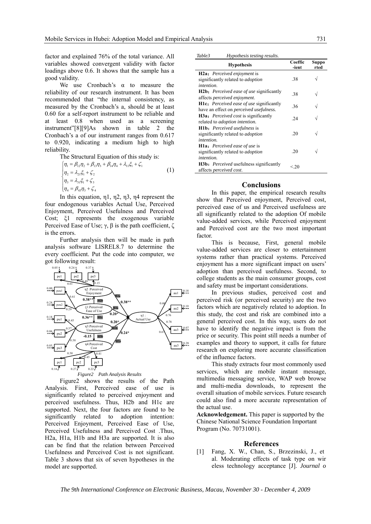factor and explained 76% of the total variance. All variables showed convergent validity with factor loadings above 0.6. It shows that the sample has a good validity.

We use Cronbach's  $\alpha$  to measure the reliability of our research instrument. It has been recommended that "the internal consistency, as measured by the Cronbach's a should be at least 0.60 for a self-report instrument to be reliable and at least 0.8 when used as a screening instrument"[8][9]As shown in table 2 the Cronbach's a of our instrument ranges from 0.617 to 0.920, indicating a medium high to high reliability.

The Structural Equation of this study is:

$$
\begin{cases}\n\eta_1 = \beta_{12}\eta_2 + \beta_{13}\eta_3 + \beta_{14}\eta_4 + \lambda_{11}\xi_1 + \zeta_1 \\
\eta_2 = \lambda_{21}\xi_1 + \zeta_2 \\
\eta_3 = \lambda_{31}\xi_1 + \zeta_3 \\
\eta_4 = \beta_{43}\eta_3 + \zeta_4\n\end{cases} (1)
$$

In this equation,  $\eta$ 1,  $\eta$ 2,  $\eta$ 3,  $\eta$ 4 represent the four endogenous variables Actual Use, Perceived Enjoyment, Perceived Usefulness and Perceived Cost:  $\&$ 1 represents the exogenous variable Perceived Ease of Use;  $\gamma$ ,  $\beta$  is the path coefficient,  $\zeta$ is the errors.

Further analysis then will be made in path analysis software LISREL8.7 to determine the every coefficient. Put the code into computer, we got following result:



Figure 2 shows the results of the Path Analysis. First, Perceived ease of use is significantly related to perceived enjoyment and perceived usefulness. Thus, H2b and H1c are supported. Next, the four factors are found to be significantly related to adoption intention: Perceived Enjoyment, Perceived Ease of Use, Perceived Usefulness and Perceived Cost .Thus, H<sub>2</sub>a, H<sub>1</sub>a, H<sub>1</sub>b and H<sub>3</sub>a are supported. It is also can be find that the relation between Perceived Usefulness and Perceived Cost is not significant. Table 3 shows that six of seven hypotheses in the model are supported.

| Table3<br>Hypothesis testing results. |  |
|---------------------------------------|--|
|---------------------------------------|--|

| <b>Hypothesis</b>                                  | Coeffic<br>-ient | Suppo<br>rted |  |
|----------------------------------------------------|------------------|---------------|--|
| <b>H2a:</b> Perceived enjoyment is                 |                  |               |  |
| significantly related to <i>adoption</i>           | .38              |               |  |
| <i>intention</i> .                                 |                  |               |  |
| <b>H2b:</b> Perceived ease of use significantly    | -38              |               |  |
| affects perceived enjoyment.                       |                  |               |  |
| <b>H1c:</b> Perceived ease of use significantly    | 36               |               |  |
| have an effect on <i>perceived</i> usefulness.     |                  |               |  |
| <b>H3a:</b> <i>Perceived cost</i> is significantly | 24               |               |  |
| related to <i>adoption</i> intention.              |                  |               |  |
| <b>H1b:</b> Perceived usefulness is                |                  |               |  |
| significantly related to <i>adoption</i>           | 20               |               |  |
| <i>intention.</i>                                  |                  |               |  |
| <b>H1a:</b> Perceived ease of use is               |                  |               |  |
| significantly related to <i>adoption</i>           | 20               |               |  |
| <i>intention.</i>                                  |                  |               |  |
| <b>H3b:</b> Perceived usefulness significantly     | <20              |               |  |
| affects perceived cost.                            |                  |               |  |

#### **Conclusions**

In this paper, the empirical research results show that Perceived enjoyment, Perceived cost, perceived ease of us and Perceived usefulness are all significantly related to the adoption Of mobile value-added services, while Perceived enjoyment and Perceived cost are the two most important factor.

This is because. First, general mobile value-added services are closer to entertainment systems rather than practical systems. Perceived enjoyment has a more significant impact on users' adoption than perceived usefulness. Second, to college students as the main consumer groups, cost and safety must be important considerations.

In previous studies, perceived cost and perceived risk (or perceived security) are the two factors which are negatively related to adoption. In this study, the cost and risk are combined into a general perceived cost. In this way, users do not have to identify the negative impact is from the price or security. This point still needs a number of examples and theory to support, it calls for future research on exploring more accurate classification of the influence factors.

This study extracts four most commonly used services, which are mobile instant message, multimedia messaging service, WAP web browse and multi-media downloads, to represent the overall situation of mobile services. Future research could also find a more accurate representation of the actual use.

Acknowledgement. This paper is supported by the Chinese National Science Foundation Important Program (No. 70731001).

#### **References**

[1] Fang, X. W., Chan, S., Brzezinski, J., et al. Moderating effects of task type on wir eless technology acceptance [J]. Journal o